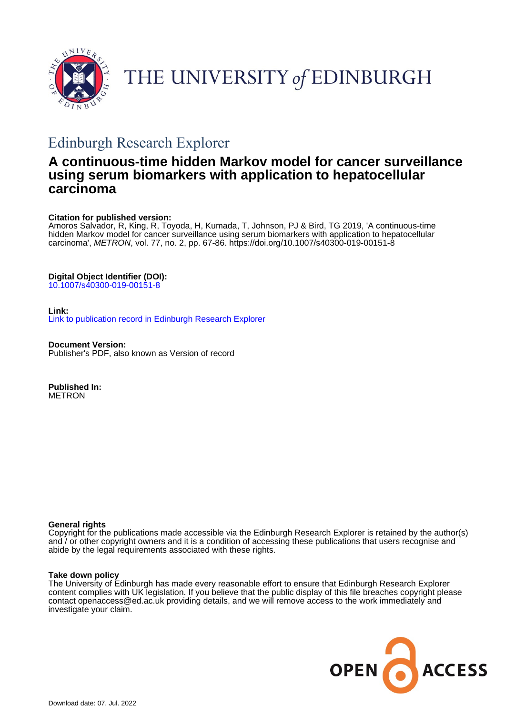



# Edinburgh Research Explorer

# **A continuous-time hidden Markov model for cancer surveillance using serum biomarkers with application to hepatocellular carcinoma**

## **Citation for published version:**

Amoros Salvador, R, King, R, Toyoda, H, Kumada, T, Johnson, PJ & Bird, TG 2019, 'A continuous-time hidden Markov model for cancer surveillance using serum biomarkers with application to hepatocellular carcinoma', METRON, vol. 77, no. 2, pp. 67-86.<https://doi.org/10.1007/s40300-019-00151-8>

# **Digital Object Identifier (DOI):**

[10.1007/s40300-019-00151-8](https://doi.org/10.1007/s40300-019-00151-8)

## **Link:**

[Link to publication record in Edinburgh Research Explorer](https://www.research.ed.ac.uk/en/publications/79e24b56-6fe2-4a8d-829a-7573ce474a0f)

**Document Version:** Publisher's PDF, also known as Version of record

**Published In:** METRON

## **General rights**

Copyright for the publications made accessible via the Edinburgh Research Explorer is retained by the author(s) and / or other copyright owners and it is a condition of accessing these publications that users recognise and abide by the legal requirements associated with these rights.

## **Take down policy**

The University of Edinburgh has made every reasonable effort to ensure that Edinburgh Research Explorer content complies with UK legislation. If you believe that the public display of this file breaches copyright please contact openaccess@ed.ac.uk providing details, and we will remove access to the work immediately and investigate your claim.

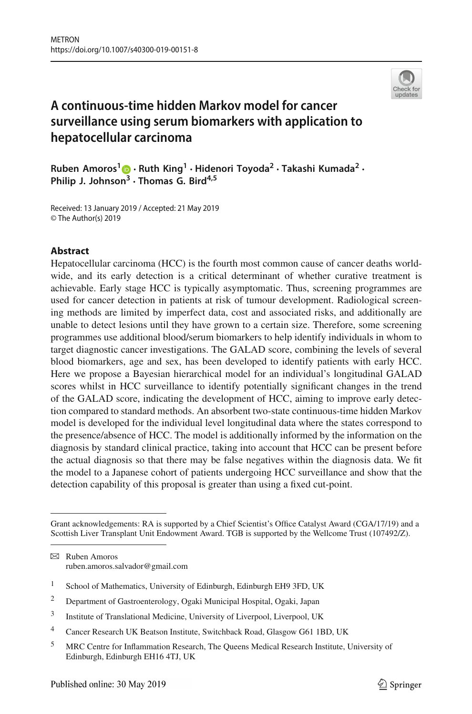

# **A continuous-time hidden Markov model for cancer surveillance using serum biomarkers with application to hepatocellular carcinoma**

**Ruben Amoros[1](http://orcid.org/0000-0003-2959-5979) · Ruth King<sup>1</sup> · Hidenori Toyoda<sup>2</sup> · Takashi Kumada2 · Philip J. Johnson<sup>3</sup> · Thomas G. Bird4,5**

Received: 13 January 2019 / Accepted: 21 May 2019 © The Author(s) 2019

## **Abstract**

Hepatocellular carcinoma (HCC) is the fourth most common cause of cancer deaths worldwide, and its early detection is a critical determinant of whether curative treatment is achievable. Early stage HCC is typically asymptomatic. Thus, screening programmes are used for cancer detection in patients at risk of tumour development. Radiological screening methods are limited by imperfect data, cost and associated risks, and additionally are unable to detect lesions until they have grown to a certain size. Therefore, some screening programmes use additional blood/serum biomarkers to help identify individuals in whom to target diagnostic cancer investigations. The GALAD score, combining the levels of several blood biomarkers, age and sex, has been developed to identify patients with early HCC. Here we propose a Bayesian hierarchical model for an individual's longitudinal GALAD scores whilst in HCC surveillance to identify potentially significant changes in the trend of the GALAD score, indicating the development of HCC, aiming to improve early detection compared to standard methods. An absorbent two-state continuous-time hidden Markov model is developed for the individual level longitudinal data where the states correspond to the presence/absence of HCC. The model is additionally informed by the information on the diagnosis by standard clinical practice, taking into account that HCC can be present before the actual diagnosis so that there may be false negatives within the diagnosis data. We fit the model to a Japanese cohort of patients undergoing HCC surveillance and show that the detection capability of this proposal is greater than using a fixed cut-point.

Grant acknowledgements: RA is supported by a Chief Scientist's Office Catalyst Award (CGA/17/19) and a Scottish Liver Transplant Unit Endowment Award. TGB is supported by the Wellcome Trust (107492/Z).

B Ruben Amoros ruben.amoros.salvador@gmail.com

<sup>&</sup>lt;sup>1</sup> School of Mathematics, University of Edinburgh, Edinburgh EH9 3FD, UK

<sup>2</sup> Department of Gastroenterology, Ogaki Municipal Hospital, Ogaki, Japan

<sup>3</sup> Institute of Translational Medicine, University of Liverpool, Liverpool, UK

<sup>4</sup> Cancer Research UK Beatson Institute, Switchback Road, Glasgow G61 1BD, UK

<sup>5</sup> MRC Centre for Inflammation Research, The Queens Medical Research Institute, University of Edinburgh, Edinburgh EH16 4TJ, UK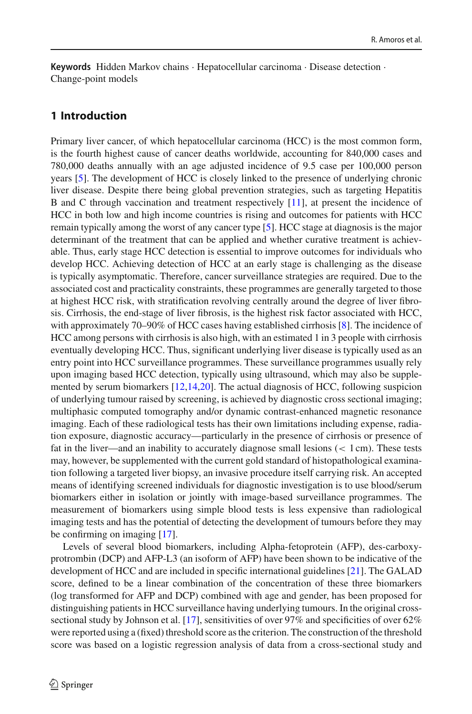**Keywords** Hidden Markov chains · Hepatocellular carcinoma · Disease detection · Change-point models

## **1 Introduction**

Primary liver cancer, of which hepatocellular carcinoma (HCC) is the most common form, is the fourth highest cause of cancer deaths worldwide, accounting for 840,000 cases and 780,000 deaths annually with an age adjusted incidence of 9.5 case per 100,000 person years [\[5\]](#page-19-0). The development of HCC is closely linked to the presence of underlying chronic liver disease. Despite there being global prevention strategies, such as targeting Hepatitis B and C through vaccination and treatment respectively [\[11\]](#page-19-1), at present the incidence of HCC in both low and high income countries is rising and outcomes for patients with HCC remain typically among the worst of any cancer type [\[5\]](#page-19-0). HCC stage at diagnosis is the major determinant of the treatment that can be applied and whether curative treatment is achievable. Thus, early stage HCC detection is essential to improve outcomes for individuals who develop HCC. Achieving detection of HCC at an early stage is challenging as the disease is typically asymptomatic. Therefore, cancer surveillance strategies are required. Due to the associated cost and practicality constraints, these programmes are generally targeted to those at highest HCC risk, with stratification revolving centrally around the degree of liver fibrosis. Cirrhosis, the end-stage of liver fibrosis, is the highest risk factor associated with HCC, with approximately 70–90% of HCC cases having established cirrhosis [\[8\]](#page-19-2). The incidence of HCC among persons with cirrhosis is also high, with an estimated 1 in 3 people with cirrhosis eventually developing HCC. Thus, significant underlying liver disease is typically used as an entry point into HCC surveillance programmes. These surveillance programmes usually rely upon imaging based HCC detection, typically using ultrasound, which may also be supplemented by serum biomarkers [\[12](#page-19-3)[,14](#page-19-4)[,20\]](#page-19-5). The actual diagnosis of HCC, following suspicion of underlying tumour raised by screening, is achieved by diagnostic cross sectional imaging; multiphasic computed tomography and/or dynamic contrast-enhanced magnetic resonance imaging. Each of these radiological tests has their own limitations including expense, radiation exposure, diagnostic accuracy—particularly in the presence of cirrhosis or presence of fat in the liver—and an inability to accurately diagnose small lesions  $(< 1 \text{ cm})$ . These tests may, however, be supplemented with the current gold standard of histopathological examination following a targeted liver biopsy, an invasive procedure itself carrying risk. An accepted means of identifying screened individuals for diagnostic investigation is to use blood/serum biomarkers either in isolation or jointly with image-based surveillance programmes. The measurement of biomarkers using simple blood tests is less expensive than radiological imaging tests and has the potential of detecting the development of tumours before they may be confirming on imaging [\[17](#page-19-6)].

Levels of several blood biomarkers, including Alpha-fetoprotein (AFP), des-carboxyprotrombin (DCP) and AFP-L3 (an isoform of AFP) have been shown to be indicative of the development of HCC and are included in specific international guidelines [\[21\]](#page-19-7). The GALAD score, defined to be a linear combination of the concentration of these three biomarkers (log transformed for AFP and DCP) combined with age and gender, has been proposed for distinguishing patients in HCC surveillance having underlying tumours. In the original crosssectional study by Johnson et al. [\[17\]](#page-19-6), sensitivities of over 97% and specificities of over 62% were reported using a (fixed) threshold score as the criterion. The construction of the threshold score was based on a logistic regression analysis of data from a cross-sectional study and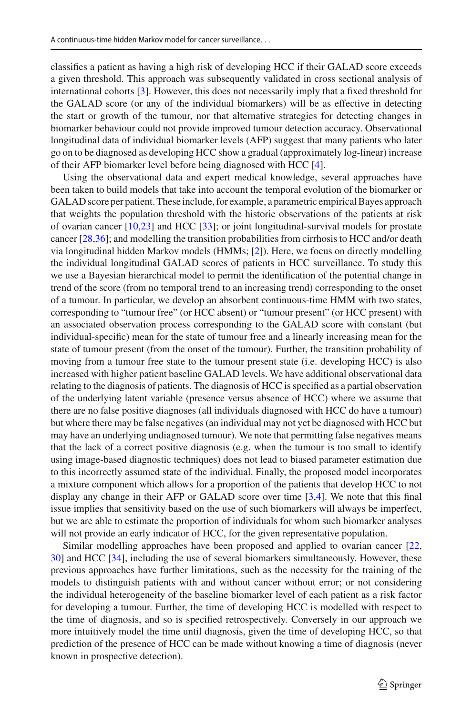classifies a patient as having a high risk of developing HCC if their GALAD score exceeds a given threshold. This approach was subsequently validated in cross sectional analysis of international cohorts [\[3](#page-18-0)]. However, this does not necessarily imply that a fixed threshold for the GALAD score (or any of the individual biomarkers) will be as effective in detecting the start or growth of the tumour, nor that alternative strategies for detecting changes in biomarker behaviour could not provide improved tumour detection accuracy. Observational longitudinal data of individual biomarker levels (AFP) suggest that many patients who later go on to be diagnosed as developing HCC show a gradual (approximately log-linear) increase of their AFP biomarker level before being diagnosed with HCC [\[4](#page-19-8)].

Using the observational data and expert medical knowledge, several approaches have been taken to build models that take into account the temporal evolution of the biomarker or GALAD score per patient. These include, for example, a parametric empirical Bayes approach that weights the population threshold with the historic observations of the patients at risk of ovarian cancer [\[10](#page-19-9)[,23\]](#page-19-10) and HCC [\[33\]](#page-20-0); or joint longitudinal-survival models for prostate cancer [\[28](#page-20-1)[,36](#page-20-2)]; and modelling the transition probabilities from cirrhosis to HCC and/or death via longitudinal hidden Markov models (HMMs; [\[2\]](#page-18-1)). Here, we focus on directly modelling the individual longitudinal GALAD scores of patients in HCC surveillance. To study this we use a Bayesian hierarchical model to permit the identification of the potential change in trend of the score (from no temporal trend to an increasing trend) corresponding to the onset of a tumour. In particular, we develop an absorbent continuous-time HMM with two states, corresponding to "tumour free" (or HCC absent) or "tumour present" (or HCC present) with an associated observation process corresponding to the GALAD score with constant (but individual-specific) mean for the state of tumour free and a linearly increasing mean for the state of tumour present (from the onset of the tumour). Further, the transition probability of moving from a tumour free state to the tumour present state (i.e. developing HCC) is also increased with higher patient baseline GALAD levels. We have additional observational data relating to the diagnosis of patients. The diagnosis of HCC is specified as a partial observation of the underlying latent variable (presence versus absence of HCC) where we assume that there are no false positive diagnoses (all individuals diagnosed with HCC do have a tumour) but where there may be false negatives (an individual may not yet be diagnosed with HCC but may have an underlying undiagnosed tumour). We note that permitting false negatives means that the lack of a correct positive diagnosis (e.g. when the tumour is too small to identify using image-based diagnostic techniques) does not lead to biased parameter estimation due to this incorrectly assumed state of the individual. Finally, the proposed model incorporates a mixture component which allows for a proportion of the patients that develop HCC to not display any change in their AFP or GALAD score over time [\[3](#page-18-0)[,4](#page-19-8)]. We note that this final issue implies that sensitivity based on the use of such biomarkers will always be imperfect, but we are able to estimate the proportion of individuals for whom such biomarker analyses will not provide an early indicator of HCC, for the given representative population.

Similar modelling approaches have been proposed and applied to ovarian cancer [\[22,](#page-19-11) [30\]](#page-20-3) and HCC [\[34](#page-20-4)], including the use of several biomarkers simultaneously. However, these previous approaches have further limitations, such as the necessity for the training of the models to distinguish patients with and without cancer without error; or not considering the individual heterogeneity of the baseline biomarker level of each patient as a risk factor for developing a tumour. Further, the time of developing HCC is modelled with respect to the time of diagnosis, and so is specified retrospectively. Conversely in our approach we more intuitively model the time until diagnosis, given the time of developing HCC, so that prediction of the presence of HCC can be made without knowing a time of diagnosis (never known in prospective detection).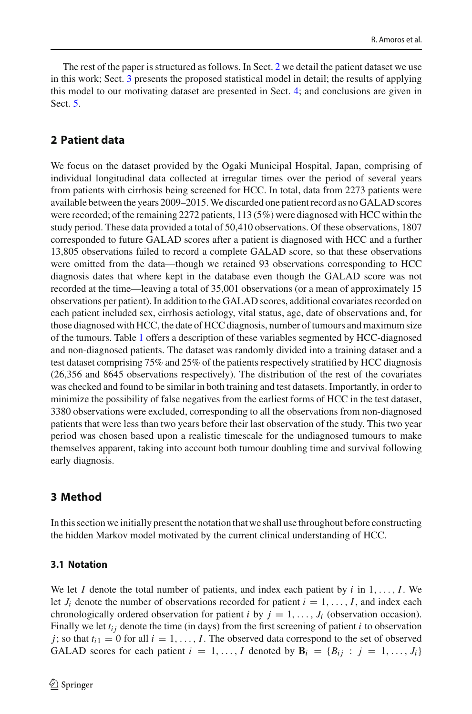The rest of the paper is structured as follows. In Sect. [2](#page-4-0) we detail the patient dataset we use in this work; Sect. [3](#page-4-1) presents the proposed statistical model in detail; the results of applying this model to our motivating dataset are presented in Sect. [4;](#page-12-0) and conclusions are given in Sect. [5.](#page-16-0)

## <span id="page-4-0"></span>**2 Patient data**

We focus on the dataset provided by the Ogaki Municipal Hospital, Japan, comprising of individual longitudinal data collected at irregular times over the period of several years from patients with cirrhosis being screened for HCC. In total, data from 2273 patients were available between the years 2009–2015.We discarded one patient record as no GALAD scores were recorded; of the remaining 2272 patients, 113 (5%) were diagnosed with HCC within the study period. These data provided a total of 50,410 observations. Of these observations, 1807 corresponded to future GALAD scores after a patient is diagnosed with HCC and a further 13,805 observations failed to record a complete GALAD score, so that these observations were omitted from the data—though we retained 93 observations corresponding to HCC diagnosis dates that where kept in the database even though the GALAD score was not recorded at the time—leaving a total of 35,001 observations (or a mean of approximately 15 observations per patient). In addition to the GALAD scores, additional covariates recorded on each patient included sex, cirrhosis aetiology, vital status, age, date of observations and, for those diagnosed with HCC, the date of HCC diagnosis, number of tumours and maximum size of the tumours. Table [1](#page-5-0) offers a description of these variables segmented by HCC-diagnosed and non-diagnosed patients. The dataset was randomly divided into a training dataset and a test dataset comprising 75% and 25% of the patients respectively stratified by HCC diagnosis (26,356 and 8645 observations respectively). The distribution of the rest of the covariates was checked and found to be similar in both training and test datasets. Importantly, in order to minimize the possibility of false negatives from the earliest forms of HCC in the test dataset, 3380 observations were excluded, corresponding to all the observations from non-diagnosed patients that were less than two years before their last observation of the study. This two year period was chosen based upon a realistic timescale for the undiagnosed tumours to make themselves apparent, taking into account both tumour doubling time and survival following early diagnosis.

## <span id="page-4-1"></span>**3 Method**

In this section we initially present the notation that we shall use throughout before constructing the hidden Markov model motivated by the current clinical understanding of HCC.

#### **3.1 Notation**

We let *I* denote the total number of patients, and index each patient by  $i$  in  $1, \ldots, I$ . We let  $J_i$  denote the number of observations recorded for patient  $i = 1, \ldots, I$ , and index each chronologically ordered observation for patient *i* by  $j = 1, \ldots, J_i$  (observation occasion). Finally we let  $t_{ij}$  denote the time (in days) from the first screening of patient *i* to observation *j*; so that  $t_{i1} = 0$  for all  $i = 1, \ldots, I$ . The observed data correspond to the set of observed GALAD scores for each patient  $i = 1, \ldots, I$  denoted by  $\mathbf{B}_i = \{B_{ij} : j = 1, \ldots, J_i\}$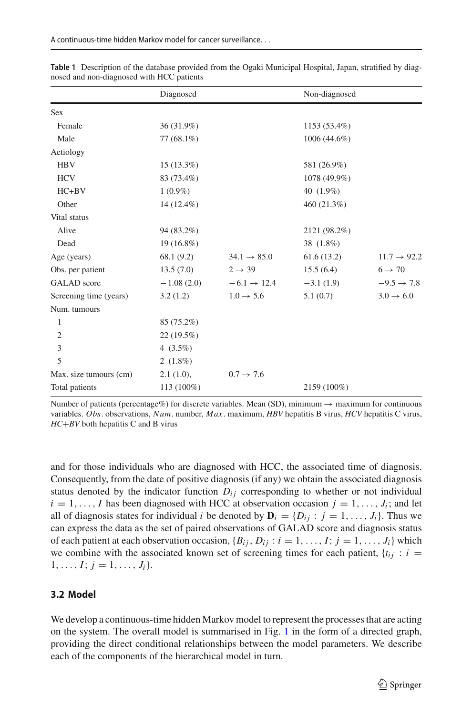|                        | Diagnosed    |                         | Non-diagnosed |                         |
|------------------------|--------------|-------------------------|---------------|-------------------------|
| <b>Sex</b>             |              |                         |               |                         |
| Female                 | 36 (31.9%)   |                         | 1153 (53.4%)  |                         |
| Male                   | $77(68.1\%)$ |                         | 1006 (44.6%)  |                         |
| Aetiology              |              |                         |               |                         |
| <b>HBV</b>             | $15(13.3\%)$ |                         | 581 (26.9%)   |                         |
| <b>HCV</b>             | 83 (73.4%)   |                         | 1078 (49.9%)  |                         |
| $HC + BV$              | $1(0.9\%)$   |                         | 40 (1.9%)     |                         |
| Other                  | 14 (12.4%)   |                         | 460 (21.3%)   |                         |
| Vital status           |              |                         |               |                         |
| Alive                  | 94 (83.2%)   |                         | 2121 (98.2%)  |                         |
| Dead                   | 19 (16.8%)   |                         | 38 (1.8%)     |                         |
| Age (years)            | 68.1(9.2)    | $34.1 \rightarrow 85.0$ | 61.6(13.2)    | $11.7 \rightarrow 92.2$ |
| Obs. per patient       | 13.5(7.0)    | $2 \rightarrow 39$      | 15.5(6.4)     | $6 \rightarrow 70$      |
| <b>GALAD</b> score     | $-1.08(2.0)$ | $-6.1 \rightarrow 12.4$ | $-3.1(1.9)$   | $-9.5 \rightarrow 7.8$  |
| Screening time (years) | 3.2(1.2)     | $1.0 \rightarrow 5.6$   | 5.1(0.7)      | $3.0 \rightarrow 6.0$   |
| Num. tumours           |              |                         |               |                         |
| 1                      | 85 (75.2%)   |                         |               |                         |
| $\mathfrak{2}$         | 22(19.5%)    |                         |               |                         |
| 3                      | 4 $(3.5\%)$  |                         |               |                         |
| 5                      | $2(1.8\%)$   |                         |               |                         |
| Max. size tumours (cm) | 2.1(1.0),    | $0.7 \rightarrow 7.6$   |               |                         |
| Total patients         | 113 (100%)   |                         | 2159 (100%)   |                         |

<span id="page-5-0"></span>**Table 1** Description of the database provided from the Ogaki Municipal Hospital, Japan, stratified by diagnosed and non-diagnosed with HCC patients

Number of patients (percentage%) for discrete variables. Mean (SD), minimum  $\rightarrow$  maximum for continuous variables. *Obs*. observations, *Num*. number, *Max*. maximum, *HBV* hepatitis B virus, *HCV* hepatitis C virus, *HC*+*BV* both hepatitis C and B virus

and for those individuals who are diagnosed with HCC, the associated time of diagnosis. Consequently, from the date of positive diagnosis (if any) we obtain the associated diagnosis status denoted by the indicator function  $D_{ij}$  corresponding to whether or not individual  $i = 1, \ldots, I$  has been diagnosed with HCC at observation occasion  $j = 1, \ldots, J_i$ ; and let all of diagnosis states for individual *i* be denoted by  $\mathbf{D}_i = \{D_{ij} : j = 1, \ldots, J_i\}$ . Thus we can express the data as the set of paired observations of GALAD score and diagnosis status of each patient at each observation occasion,  ${B_{ij}, D_{ij} : i = 1, ..., I; j = 1, ..., J_i}$  which we combine with the associated known set of screening times for each patient,  $\{t_{ij} : i =$  $1, \ldots, I; j = 1, \ldots, J_i$ .

## **3.2 Model**

We develop a continuous-time hidden Markov model to represent the processes that are acting on the system. The overall model is summarised in Fig. [1](#page-6-0) in the form of a directed graph, providing the direct conditional relationships between the model parameters. We describe each of the components of the hierarchical model in turn.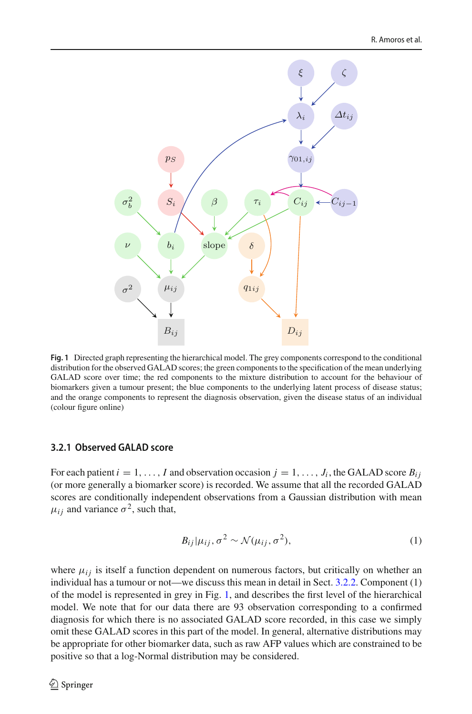

<span id="page-6-0"></span>**Fig. 1** Directed graph representing the hierarchical model. The grey components correspond to the conditional distribution for the observed GALAD scores; the green components to the specification of the mean underlying GALAD score over time; the red components to the mixture distribution to account for the behaviour of biomarkers given a tumour present; the blue components to the underlying latent process of disease status; and the orange components to represent the diagnosis observation, given the disease status of an individual (colour figure online)

#### <span id="page-6-1"></span>**3.2.1 Observed GALAD score**

For each patient  $i = 1, \ldots, I$  and observation occasion  $j = 1, \ldots, J_i$ , the GALAD score  $B_{ij}$ (or more generally a biomarker score) is recorded. We assume that all the recorded GALAD scores are conditionally independent observations from a Gaussian distribution with mean  $\mu_{ij}$  and variance  $\sigma^2$ , such that,

$$
B_{ij}|\mu_{ij},\sigma^2 \sim \mathcal{N}(\mu_{ij},\sigma^2),\tag{1}
$$

where  $\mu_{ij}$  is itself a function dependent on numerous factors, but critically on whether an individual has a tumour or not—we discuss this mean in detail in Sect. [3.2.2.](#page-7-0) Component (1) of the model is represented in grey in Fig. [1,](#page-6-0) and describes the first level of the hierarchical model. We note that for our data there are 93 observation corresponding to a confirmed diagnosis for which there is no associated GALAD score recorded, in this case we simply omit these GALAD scores in this part of the model. In general, alternative distributions may be appropriate for other biomarker data, such as raw AFP values which are constrained to be positive so that a log-Normal distribution may be considered.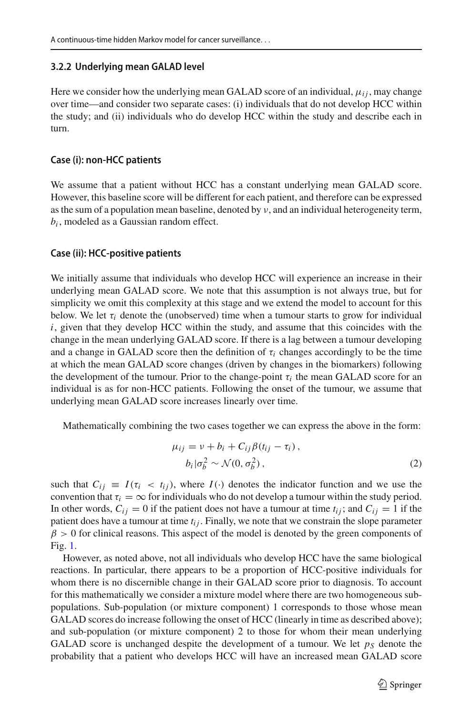#### <span id="page-7-0"></span>**3.2.2 Underlying mean GALAD level**

Here we consider how the underlying mean GALAD score of an individual,  $\mu_{ij}$ , may change over time—and consider two separate cases: (i) individuals that do not develop HCC within the study; and (ii) individuals who do develop HCC within the study and describe each in turn.

#### **Case (i): non-HCC patients**

We assume that a patient without HCC has a constant underlying mean GALAD score. However, this baseline score will be different for each patient, and therefore can be expressed as the sum of a population mean baseline, denoted by  $\nu$ , and an individual heterogeneity term, *bi* , modeled as a Gaussian random effect.

#### **Case (ii): HCC-positive patients**

We initially assume that individuals who develop HCC will experience an increase in their underlying mean GALAD score. We note that this assumption is not always true, but for simplicity we omit this complexity at this stage and we extend the model to account for this below. We let  $\tau_i$  denote the (unobserved) time when a tumour starts to grow for individual  $i$ , given that they develop HCC within the study, and assume that this coincides with the change in the mean underlying GALAD score. If there is a lag between a tumour developing and a change in GALAD score then the definition of  $\tau_i$  changes accordingly to be the time at which the mean GALAD score changes (driven by changes in the biomarkers) following the development of the tumour. Prior to the change-point  $\tau_i$  the mean GALAD score for an individual is as for non-HCC patients. Following the onset of the tumour, we assume that underlying mean GALAD score increases linearly over time.

Mathematically combining the two cases together we can express the above in the form:

$$
\mu_{ij} = v + b_i + C_{ij}\beta(t_{ij} - \tau_i),
$$
  
\n
$$
b_i|\sigma_b^2 \sim \mathcal{N}(0, \sigma_b^2),
$$
\n(2)

such that  $C_{ij} \equiv I(\tau_i \langle t_i \rangle)$ , where  $I(\cdot)$  denotes the indicator function and we use the convention that  $\tau_i = \infty$  for individuals who do not develop a tumour within the study period. In other words,  $C_{ij} = 0$  if the patient does not have a tumour at time  $t_{ij}$ ; and  $C_{ij} = 1$  if the patient does have a tumour at time  $t_{ij}$ . Finally, we note that we constrain the slope parameter  $\beta > 0$  for clinical reasons. This aspect of the model is denoted by the green components of Fig. [1.](#page-6-0)

However, as noted above, not all individuals who develop HCC have the same biological reactions. In particular, there appears to be a proportion of HCC-positive individuals for whom there is no discernible change in their GALAD score prior to diagnosis. To account for this mathematically we consider a mixture model where there are two homogeneous subpopulations. Sub-population (or mixture component) 1 corresponds to those whose mean GALAD scores do increase following the onset of HCC (linearly in time as described above); and sub-population (or mixture component) 2 to those for whom their mean underlying GALAD score is unchanged despite the development of a tumour. We let  $p<sub>S</sub>$  denote the probability that a patient who develops HCC will have an increased mean GALAD score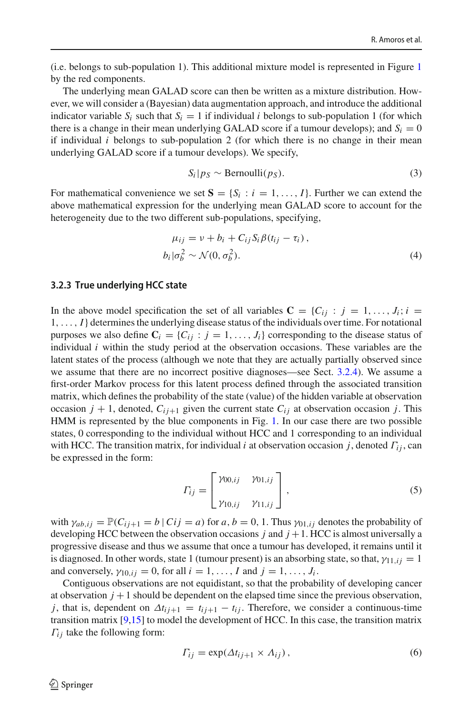(i.e. belongs to sub-population 1). This additional mixture model is represented in Figure [1](#page-6-0) by the red components.

The underlying mean GALAD score can then be written as a mixture distribution. However, we will consider a (Bayesian) data augmentation approach, and introduce the additional indicator variable  $S_i$  such that  $S_i = 1$  if individual *i* belongs to sub-population 1 (for which there is a change in their mean underlying GALAD score if a tumour develops); and  $S_i = 0$ if individual *i* belongs to sub-population 2 (for which there is no change in their mean underlying GALAD score if a tumour develops). We specify,

<span id="page-8-1"></span>
$$
S_i|_{PS} \sim \text{Bernoulli}(p_S). \tag{3}
$$

For mathematical convenience we set  $S = \{S_i : i = 1, ..., I\}$ . Further we can extend the above mathematical expression for the underlying mean GALAD score to account for the heterogeneity due to the two different sub-populations, specifying,

$$
\mu_{ij} = v + b_i + C_{ij} S_i \beta(t_{ij} - \tau_i),
$$
  
\n
$$
b_i | \sigma_b^2 \sim \mathcal{N}(0, \sigma_b^2).
$$
 (4)

#### <span id="page-8-0"></span>**3.2.3 True underlying HCC state**

In the above model specification the set of all variables  $C = \{C_{ij} : j = 1, \ldots, J_i; i = j\}$ 1,..., *I*} determines the underlying disease status of the individuals over time. For notational purposes we also define  $C_i = \{C_{ij} : j = 1, ..., J_i\}$  corresponding to the disease status of individual *i* within the study period at the observation occasions. These variables are the latent states of the process (although we note that they are actually partially observed since we assume that there are no incorrect positive diagnoses—see Sect. [3.2.4\)](#page-9-0). We assume a first-order Markov process for this latent process defined through the associated transition matrix, which defines the probability of the state (value) of the hidden variable at observation occasion  $j + 1$ , denoted,  $C_{ij+1}$  given the current state  $C_{ij}$  at observation occasion  $j$ . This HMM is represented by the blue components in Fig. [1.](#page-6-0) In our case there are two possible states, 0 corresponding to the individual without HCC and 1 corresponding to an individual with HCC. The transition matrix, for individual *i* at observation occasion *j*, denoted Γ*i j* , can be expressed in the form:

$$
\Gamma_{ij} = \begin{bmatrix} \gamma_{00,ij} & \gamma_{01,ij} \\ \gamma_{10,ij} & \gamma_{11,ij} \end{bmatrix},
$$
\n(5)

with  $\gamma_{ab,ij} = \mathbb{P}(C_{ij+1} = b \mid Ci = a)$  for  $a, b = 0, 1$ . Thus  $\gamma_{01,ij}$  denotes the probability of developing HCC between the observation occasions  $j$  and  $j + 1$ . HCC is almost universally a progressive disease and thus we assume that once a tumour has developed, it remains until it is diagnosed. In other words, state 1 (tumour present) is an absorbing state, so that,  $\gamma_{11,ij} = 1$ and conversely,  $\gamma_{10, i} = 0$ , for all  $i = 1, \ldots, I$  and  $j = 1, \ldots, J_i$ .

Contiguous observations are not equidistant, so that the probability of developing cancer at observation  $j + 1$  should be dependent on the elapsed time since the previous observation, *j*, that is, dependent on  $\Delta t_{i j+1} = t_{i j+1} - t_{i j}$ . Therefore, we consider a continuous-time transition matrix  $[9,15]$  $[9,15]$  to model the development of HCC. In this case, the transition matrix  $\Gamma_{ij}$  take the following form:

<span id="page-8-2"></span>
$$
\Gamma_{ij} = \exp(\Delta t_{ij+1} \times \Lambda_{ij}), \qquad (6)
$$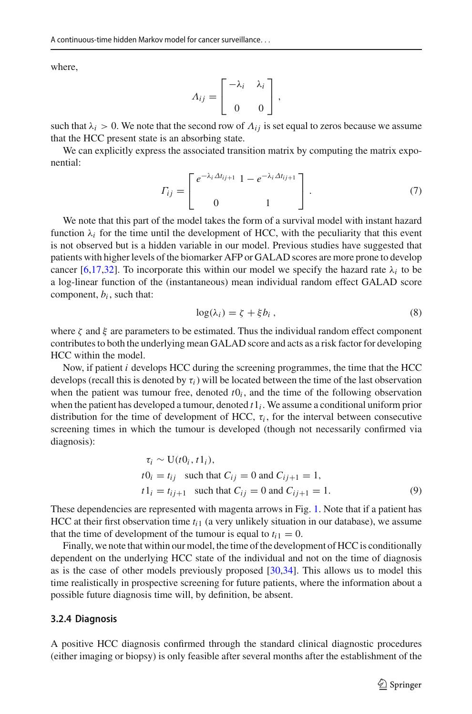where,

$$
A_{ij} = \begin{bmatrix} -\lambda_i & \lambda_i \\ 0 & 0 \end{bmatrix},
$$

such that  $\lambda_i > 0$ . We note that the second row of  $\Lambda_{ij}$  is set equal to zeros because we assume that the HCC present state is an absorbing state.

We can explicitly express the associated transition matrix by computing the matrix exponential:

$$
\Gamma_{ij} = \begin{bmatrix} e^{-\lambda_i \Delta t_{ij+1}} & 1 - e^{-\lambda_i \Delta t_{ij+1}} \\ 0 & 1 \end{bmatrix} . \tag{7}
$$

We note that this part of the model takes the form of a survival model with instant hazard function  $\lambda_i$  for the time until the development of HCC, with the peculiarity that this event is not observed but is a hidden variable in our model. Previous studies have suggested that patients with higher levels of the biomarker AFP or GALAD scores are more prone to develop cancer [\[6](#page-19-14)[,17](#page-19-6)[,32](#page-20-5)]. To incorporate this within our model we specify the hazard rate  $\lambda_i$  to be a log-linear function of the (instantaneous) mean individual random effect GALAD score component,  $b_i$ , such that:

<span id="page-9-1"></span>
$$
\log(\lambda_i) = \zeta + \xi b_i , \qquad (8)
$$

where  $\zeta$  and  $\xi$  are parameters to be estimated. Thus the individual random effect component contributes to both the underlying mean GALAD score and acts as a risk factor for developing HCC within the model.

Now, if patient *i* develops HCC during the screening programmes, the time that the HCC develops (recall this is denoted by  $\tau_i$ ) will be located between the time of the last observation when the patient was tumour free, denoted  $t0<sub>i</sub>$ , and the time of the following observation when the patient has developed a tumour, denoted *t*1*<sup>i</sup>* . We assume a conditional uniform prior distribution for the time of development of HCC,  $\tau_i$ , for the interval between consecutive screening times in which the tumour is developed (though not necessarily confirmed via diagnosis):

$$
\tau_i \sim U(t0_i, t1_i),
$$
  
\n
$$
t0_i = t_{ij} \text{ such that } C_{ij} = 0 \text{ and } C_{ij+1} = 1,
$$
  
\n
$$
t1_i = t_{ij+1} \text{ such that } C_{ij} = 0 \text{ and } C_{ij+1} = 1.
$$
 (9)

These dependencies are represented with magenta arrows in Fig. [1.](#page-6-0) Note that if a patient has HCC at their first observation time *ti*<sup>1</sup> (a very unlikely situation in our database), we assume that the time of development of the tumour is equal to  $t_{i1} = 0$ .

Finally, we note that within our model, the time of the development of HCC is conditionally dependent on the underlying HCC state of the individual and not on the time of diagnosis as is the case of other models previously proposed [\[30](#page-20-3)[,34\]](#page-20-4). This allows us to model this time realistically in prospective screening for future patients, where the information about a possible future diagnosis time will, by definition, be absent.

#### <span id="page-9-0"></span>**3.2.4 Diagnosis**

A positive HCC diagnosis confirmed through the standard clinical diagnostic procedures (either imaging or biopsy) is only feasible after several months after the establishment of the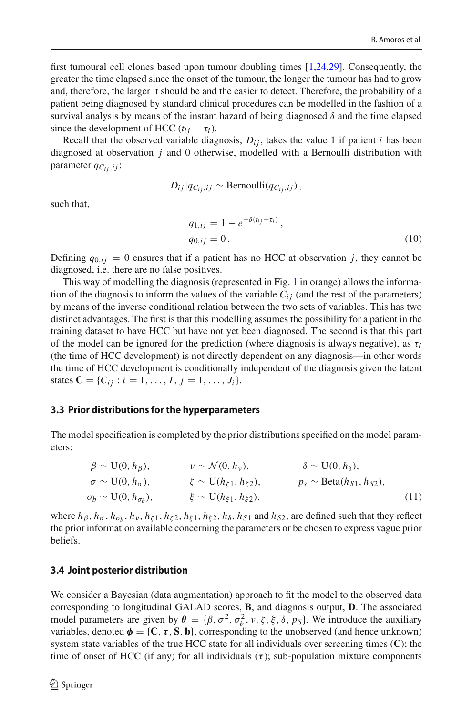first tumoural cell clones based upon tumour doubling times [\[1](#page-18-2)[,24](#page-20-6)[,29\]](#page-20-7). Consequently, the greater the time elapsed since the onset of the tumour, the longer the tumour has had to grow and, therefore, the larger it should be and the easier to detect. Therefore, the probability of a patient being diagnosed by standard clinical procedures can be modelled in the fashion of a survival analysis by means of the instant hazard of being diagnosed  $\delta$  and the time elapsed since the development of HCC  $(t_{ij} - \tau_i)$ .

Recall that the observed variable diagnosis,  $D_{ij}$ , takes the value 1 if patient *i* has been diagnosed at observation *j* and 0 otherwise, modelled with a Bernoulli distribution with parameter  $q_{C_{ij},ij}$ :

$$
D_{ij}|q_{C_{ij},ij}\sim\text{Bernoulli}(q_{C_{ij},ij})\,,
$$

such that,

<span id="page-10-1"></span>
$$
q_{1,ij} = 1 - e^{-\delta(t_{ij} - \tau_i)},
$$
  
\n
$$
q_{0,ij} = 0.
$$
\n(10)

Defining  $q_{0,ij} = 0$  ensures that if a patient has no HCC at observation *j*, they cannot be diagnosed, i.e. there are no false positives.

This way of modelling the diagnosis (represented in Fig. [1](#page-6-0) in orange) allows the information of the diagnosis to inform the values of the variable  $C_{ij}$  (and the rest of the parameters) by means of the inverse conditional relation between the two sets of variables. This has two distinct advantages. The first is that this modelling assumes the possibility for a patient in the training dataset to have HCC but have not yet been diagnosed. The second is that this part of the model can be ignored for the prediction (where diagnosis is always negative), as  $\tau_i$ (the time of HCC development) is not directly dependent on any diagnosis—in other words the time of HCC development is conditionally independent of the diagnosis given the latent states  $C = \{C_{ij} : i = 1, ..., I, j = 1, ..., J_i\}.$ 

#### <span id="page-10-0"></span>**3.3 Prior distributions for the hyperparameters**

The model specification is completed by the prior distributions specified on the model parameters:

$$
\beta \sim U(0, h_{\beta}), \qquad \qquad \nu \sim \mathcal{N}(0, h_{\nu}), \qquad \qquad \delta \sim U(0, h_{\delta}),
$$
  
\n
$$
\sigma \sim U(0, h_{\sigma}), \qquad \qquad \zeta \sim U(h_{\zeta 1}, h_{\zeta 2}), \qquad \qquad p_s \sim \text{Beta}(h_{S1}, h_{S2}),
$$
  
\n
$$
\sigma_b \sim U(0, h_{\sigma_b}), \qquad \qquad \xi \sim U(h_{\xi 1}, h_{\xi 2}), \qquad (11)
$$

where  $h_\beta$ ,  $h_\sigma$ ,  $h_{\sigma_b}$ ,  $h_\nu$ ,  $h_{\zeta_1}$ ,  $h_{\zeta_2}$ ,  $h_{\xi_1}$ ,  $h_{\xi_2}$ ,  $h_\delta$ ,  $h_{S1}$  and  $h_{S2}$ , are defined such that they reflect the prior information available concerning the parameters or be chosen to express vague prior beliefs.

#### **3.4 Joint posterior distribution**

We consider a Bayesian (data augmentation) approach to fit the model to the observed data corresponding to longitudinal GALAD scores, **B**, and diagnosis output, **D**. The associated model parameters are given by  $\theta = {\beta, \sigma^2, \sigma_b^2, \nu, \zeta, \xi, \delta, p_s}$ . We introduce the auxiliary variables, denoted  $\phi = \{C, \tau, S, b\}$ , corresponding to the unobserved (and hence unknown) system state variables of the true HCC state for all individuals over screening times (**C**); the time of onset of HCC (if any) for all individuals (*τ* ); sub-population mixture components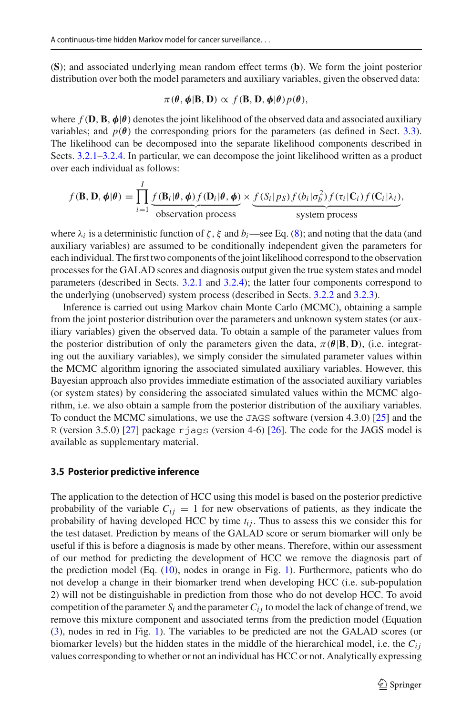(**S**); and associated underlying mean random effect terms (**b**). We form the joint posterior distribution over both the model parameters and auxiliary variables, given the observed data:

$$
\pi(\theta, \phi | B, D) \propto f(B, D, \phi | \theta) p(\theta),
$$

where  $f(\mathbf{D}, \mathbf{B}, \phi | \theta)$  denotes the joint likelihood of the observed data and associated auxiliary variables; and  $p(\theta)$  the corresponding priors for the parameters (as defined in Sect. [3.3\)](#page-10-0). The likelihood can be decomposed into the separate likelihood components described in Sects. [3.2.1–](#page-6-1)[3.2.4.](#page-9-0) In particular, we can decompose the joint likelihood written as a product over each individual as follows:

$$
f(\mathbf{B}, \mathbf{D}, \phi | \theta) = \prod_{i=1}^{I} \underbrace{f(\mathbf{B}_i | \theta, \phi) f(\mathbf{D}_i | \theta, \phi)}_{\text{observation process}} \times \underbrace{f(S_i | p_S) f(b_i | \sigma_b^2) f(\tau_i | \mathbf{C}_i) f(\mathbf{C}_i | \lambda_i)}_{\text{system process}},
$$

where  $\lambda_i$  is a deterministic function of  $\zeta$ ,  $\xi$  and  $b_i$  —see Eq. [\(8\)](#page-9-1); and noting that the data (and auxiliary variables) are assumed to be conditionally independent given the parameters for each individual. The first two components of the joint likelihood correspond to the observation processes for the GALAD scores and diagnosis output given the true system states and model parameters (described in Sects. [3.2.1](#page-6-1) and [3.2.4\)](#page-9-0); the latter four components correspond to the underlying (unobserved) system process (described in Sects. [3.2.2](#page-7-0) and [3.2.3\)](#page-8-0).

Inference is carried out using Markov chain Monte Carlo (MCMC), obtaining a sample from the joint posterior distribution over the parameters and unknown system states (or auxiliary variables) given the observed data. To obtain a sample of the parameter values from the posterior distribution of only the parameters given the data,  $\pi(\theta|\mathbf{B}, \mathbf{D})$ , (i.e. integrating out the auxiliary variables), we simply consider the simulated parameter values within the MCMC algorithm ignoring the associated simulated auxiliary variables. However, this Bayesian approach also provides immediate estimation of the associated auxiliary variables (or system states) by considering the associated simulated values within the MCMC algorithm, i.e. we also obtain a sample from the posterior distribution of the auxiliary variables. To conduct the MCMC simulations, we use the JAGS software (version 4.3.0) [\[25\]](#page-20-8) and the R (version 3.5.0) [\[27\]](#page-20-9) package rjags (version 4-6) [\[26\]](#page-20-10). The code for the JAGS model is available as supplementary material.

#### **3.5 Posterior predictive inference**

The application to the detection of HCC using this model is based on the posterior predictive probability of the variable  $C_{ij} = 1$  for new observations of patients, as they indicate the probability of having developed HCC by time  $t_{ij}$ . Thus to assess this we consider this for the test dataset. Prediction by means of the GALAD score or serum biomarker will only be useful if this is before a diagnosis is made by other means. Therefore, within our assessment of our method for predicting the development of HCC we remove the diagnosis part of the prediction model (Eq. [\(10\)](#page-10-1), nodes in orange in Fig. [1\)](#page-6-0). Furthermore, patients who do not develop a change in their biomarker trend when developing HCC (i.e. sub-population 2) will not be distinguishable in prediction from those who do not develop HCC. To avoid competition of the parameter  $S_i$  and the parameter  $C_{ij}$  to model the lack of change of trend, we remove this mixture component and associated terms from the prediction model (Equation [\(3\)](#page-8-1), nodes in red in Fig. [1\)](#page-6-0). The variables to be predicted are not the GALAD scores (or biomarker levels) but the hidden states in the middle of the hierarchical model, i.e. the  $C_{ij}$ values corresponding to whether or not an individual has HCC or not. Analytically expressing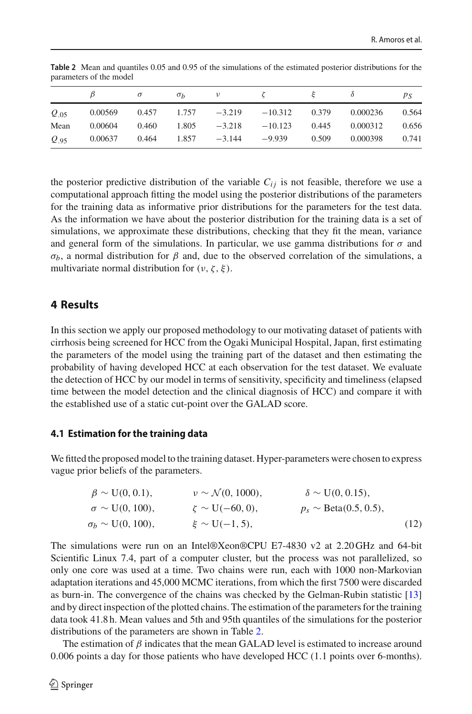|           |         | $\sigma$ | $\sigma_h$ | $\nu$                    |                  |       |          | ps    |
|-----------|---------|----------|------------|--------------------------|------------------|-------|----------|-------|
| $Q_{.05}$ | 0.00569 |          |            | $0.457$ $1.757$ $-3.219$ | $-10.312$        | 0.379 | 0.000236 | 0.564 |
| Mean      | 0.00604 | 0.460    | 1.805      |                          | $-3.218 -10.123$ | 0.445 | 0.000312 | 0.656 |
| $Q_{.95}$ | 0.00637 | 0.464    |            | $1.857 -3.144$           | -9.939           | 0.509 | 0.000398 | 0.741 |

<span id="page-12-1"></span>**Table 2** Mean and quantiles 0.05 and 0.95 of the simulations of the estimated posterior distributions for the parameters of the model

the posterior predictive distribution of the variable  $C_{ij}$  is not feasible, therefore we use a computational approach fitting the model using the posterior distributions of the parameters for the training data as informative prior distributions for the parameters for the test data. As the information we have about the posterior distribution for the training data is a set of simulations, we approximate these distributions, checking that they fit the mean, variance and general form of the simulations. In particular, we use gamma distributions for  $\sigma$  and σ*b*, a normal distribution for β and, due to the observed correlation of the simulations, a multivariate normal distribution for  $(\nu, \zeta, \xi)$ .

## <span id="page-12-0"></span>**4 Results**

In this section we apply our proposed methodology to our motivating dataset of patients with cirrhosis being screened for HCC from the Ogaki Municipal Hospital, Japan, first estimating the parameters of the model using the training part of the dataset and then estimating the probability of having developed HCC at each observation for the test dataset. We evaluate the detection of HCC by our model in terms of sensitivity, specificity and timeliness (elapsed time between the model detection and the clinical diagnosis of HCC) and compare it with the established use of a static cut-point over the GALAD score.

## **4.1 Estimation for the training data**

We fitted the proposed model to the training dataset. Hyper-parameters were chosen to express vague prior beliefs of the parameters.

| $\beta \sim U(0, 0.1)$ ,    | $\nu \sim \mathcal{N}(0, 1000),$ | $\delta \sim U(0, 0.15)$ , |      |
|-----------------------------|----------------------------------|----------------------------|------|
| $\sigma \sim U(0, 100)$ ,   | $\zeta \sim U(-60, 0)$ ,         | $p_s \sim$ Beta(0.5, 0.5), |      |
| $\sigma_b \sim U(0, 100)$ , | $\xi \sim U(-1, 5)$ ,            |                            | (12) |

The simulations were run on an Intel®Xeon®CPU E7-4830 v2 at 2.20 GHz and 64-bit Scientific Linux 7.4, part of a computer cluster, but the process was not parallelized, so only one core was used at a time. Two chains were run, each with 1000 non-Markovian adaptation iterations and 45,000 MCMC iterations, from which the first 7500 were discarded as burn-in. The convergence of the chains was checked by the Gelman-Rubin statistic [\[13\]](#page-19-15) and by direct inspection of the plotted chains. The estimation of the parameters for the training data took 41.8 h. Mean values and 5th and 95th quantiles of the simulations for the posterior distributions of the parameters are shown in Table [2.](#page-12-1)

The estimation of  $\beta$  indicates that the mean GALAD level is estimated to increase around 0.006 points a day for those patients who have developed HCC (1.1 points over 6-months).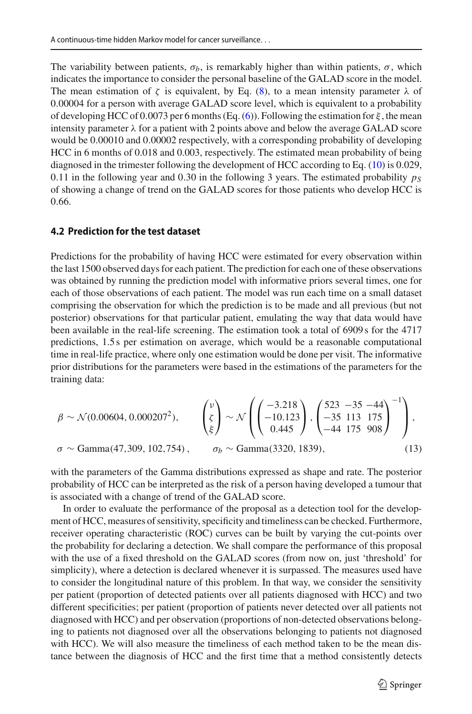The variability between patients,  $\sigma_b$ , is remarkably higher than within patients,  $\sigma$ , which indicates the importance to consider the personal baseline of the GALAD score in the model. The mean estimation of  $\zeta$  is equivalent, by Eq. [\(8\)](#page-9-1), to a mean intensity parameter  $\lambda$  of 0.00004 for a person with average GALAD score level, which is equivalent to a probability of developing HCC of 0.0073 per 6 months (Eq. [\(6\)](#page-8-2)). Following the estimation for  $\xi$ , the mean intensity parameter  $\lambda$  for a patient with 2 points above and below the average GALAD score would be 0.00010 and 0.00002 respectively, with a corresponding probability of developing HCC in 6 months of 0.018 and 0.003, respectively. The estimated mean probability of being diagnosed in the trimester following the development of HCC according to Eq. [\(10\)](#page-10-1) is 0.029, 0.11 in the following year and 0.30 in the following 3 years. The estimated probability  $p<sub>S</sub>$ of showing a change of trend on the GALAD scores for those patients who develop HCC is 0.66.

#### **4.2 Prediction for the test dataset**

Predictions for the probability of having HCC were estimated for every observation within the last 1500 observed days for each patient. The prediction for each one of these observations was obtained by running the prediction model with informative priors several times, one for each of those observations of each patient. The model was run each time on a small dataset comprising the observation for which the prediction is to be made and all previous (but not posterior) observations for that particular patient, emulating the way that data would have been available in the real-life screening. The estimation took a total of 6909 s for the 4717 predictions, 1.5 s per estimation on average, which would be a reasonable computational time in real-life practice, where only one estimation would be done per visit. The informative prior distributions for the parameters were based in the estimations of the parameters for the training data:

$$
\beta \sim \mathcal{N}(0.00604, 0.000207^2), \qquad \begin{pmatrix} v \\ \zeta \\ \xi \end{pmatrix} \sim \mathcal{N} \left( \begin{pmatrix} -3.218 \\ -10.123 \\ 0.445 \end{pmatrix}, \begin{pmatrix} 523 & -35 & -44 \\ -35 & 113 & 175 \\ -44 & 175 & 908 \end{pmatrix}^{-1} \right),
$$
  
 $\sigma \sim \text{Gamma}(47,309, 102,754), \qquad \sigma_b \sim \text{Gamma}(3320, 1839), \qquad (13)$ 

with the parameters of the Gamma distributions expressed as shape and rate. The posterior probability of HCC can be interpreted as the risk of a person having developed a tumour that is associated with a change of trend of the GALAD score.

In order to evaluate the performance of the proposal as a detection tool for the development of HCC, measures of sensitivity, specificity and timeliness can be checked. Furthermore, receiver operating characteristic (ROC) curves can be built by varying the cut-points over the probability for declaring a detection. We shall compare the performance of this proposal with the use of a fixed threshold on the GALAD scores (from now on, just 'threshold' for simplicity), where a detection is declared whenever it is surpassed. The measures used have to consider the longitudinal nature of this problem. In that way, we consider the sensitivity per patient (proportion of detected patients over all patients diagnosed with HCC) and two different specificities; per patient (proportion of patients never detected over all patients not diagnosed with HCC) and per observation (proportions of non-detected observations belonging to patients not diagnosed over all the observations belonging to patients not diagnosed with HCC). We will also measure the timeliness of each method taken to be the mean distance between the diagnosis of HCC and the first time that a method consistently detects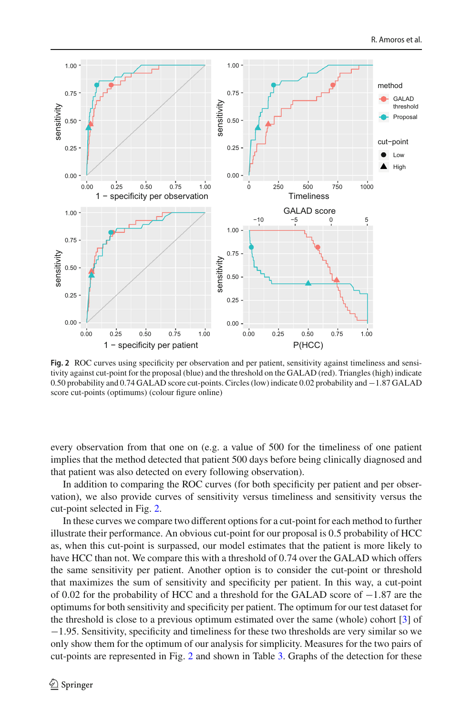

<span id="page-14-0"></span>**Fig. 2** ROC curves using specificity per observation and per patient, sensitivity against timeliness and sensitivity against cut-point for the proposal (blue) and the threshold on the GALAD (red). Triangles (high) indicate 0.50 probability and 0.74 GALAD score cut-points. Circles (low) indicate 0.02 probability and −1.87 GALAD score cut-points (optimums) (colour figure online)

every observation from that one on (e.g. a value of 500 for the timeliness of one patient implies that the method detected that patient 500 days before being clinically diagnosed and that patient was also detected on every following observation).

In addition to comparing the ROC curves (for both specificity per patient and per observation), we also provide curves of sensitivity versus timeliness and sensitivity versus the cut-point selected in Fig. [2.](#page-14-0)

In these curves we compare two different options for a cut-point for each method to further illustrate their performance. An obvious cut-point for our proposal is 0.5 probability of HCC as, when this cut-point is surpassed, our model estimates that the patient is more likely to have HCC than not. We compare this with a threshold of 0.74 over the GALAD which offers the same sensitivity per patient. Another option is to consider the cut-point or threshold that maximizes the sum of sensitivity and specificity per patient. In this way, a cut-point of 0.02 for the probability of HCC and a threshold for the GALAD score of −1.87 are the optimums for both sensitivity and specificity per patient. The optimum for our test dataset for the threshold is close to a previous optimum estimated over the same (whole) cohort [\[3](#page-18-0)] of −1.95. Sensitivity, specificity and timeliness for these two thresholds are very similar so we only show them for the optimum of our analysis for simplicity. Measures for the two pairs of cut-points are represented in Fig. [2](#page-14-0) and shown in Table [3.](#page-15-0) Graphs of the detection for these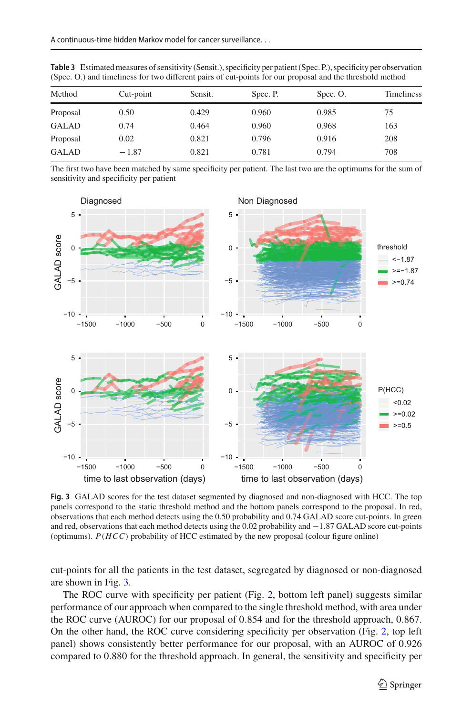| Method       | Cut-point | Sensit. | Spec. P. | Spec. O. | Timeliness |
|--------------|-----------|---------|----------|----------|------------|
| Proposal     | 0.50      | 0.429   | 0.960    | 0.985    | 75         |
| <b>GALAD</b> | 0.74      | 0.464   | 0.960    | 0.968    | 163        |
| Proposal     | 0.02      | 0.821   | 0.796    | 0.916    | 208        |
| <b>GALAD</b> | $-1.87$   | 0.821   | 0.781    | 0.794    | 708        |
|              |           |         |          |          |            |

<span id="page-15-0"></span>**Table 3** Estimated measures of sensitivity (Sensit.), specificity per patient (Spec. P.), specificity per observation (Spec. O.) and timeliness for two different pairs of cut-points for our proposal and the threshold method

The first two have been matched by same specificity per patient. The last two are the optimums for the sum of sensitivity and specificity per patient



<span id="page-15-1"></span>Fig. 3 GALAD scores for the test dataset segmented by diagnosed and non-diagnosed with HCC. The top panels correspond to the static threshold method and the bottom panels correspond to the proposal. In red, observations that each method detects using the 0.50 probability and 0.74 GALAD score cut-points. In green and red, observations that each method detects using the 0.02 probability and −1.87 GALAD score cut-points (optimums). *P*(*HCC*) probability of HCC estimated by the new proposal (colour figure online)

cut-points for all the patients in the test dataset, segregated by diagnosed or non-diagnosed are shown in Fig. [3.](#page-15-1)

The ROC curve with specificity per patient (Fig. [2,](#page-14-0) bottom left panel) suggests similar performance of our approach when compared to the single threshold method, with area under the ROC curve (AUROC) for our proposal of 0.854 and for the threshold approach, 0.867. On the other hand, the ROC curve considering specificity per observation (Fig. [2,](#page-14-0) top left panel) shows consistently better performance for our proposal, with an AUROC of 0.926 compared to 0.880 for the threshold approach. In general, the sensitivity and specificity per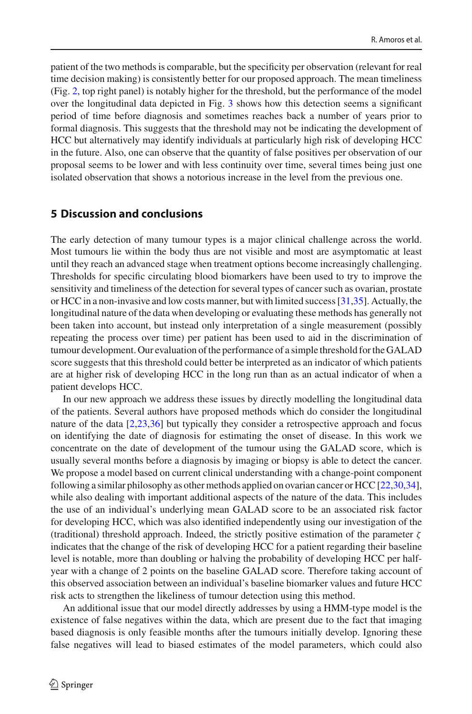patient of the two methods is comparable, but the specificity per observation (relevant for real time decision making) is consistently better for our proposed approach. The mean timeliness (Fig. [2,](#page-14-0) top right panel) is notably higher for the threshold, but the performance of the model over the longitudinal data depicted in Fig. [3](#page-15-1) shows how this detection seems a significant period of time before diagnosis and sometimes reaches back a number of years prior to formal diagnosis. This suggests that the threshold may not be indicating the development of HCC but alternatively may identify individuals at particularly high risk of developing HCC in the future. Also, one can observe that the quantity of false positives per observation of our proposal seems to be lower and with less continuity over time, several times being just one isolated observation that shows a notorious increase in the level from the previous one.

## <span id="page-16-0"></span>**5 Discussion and conclusions**

The early detection of many tumour types is a major clinical challenge across the world. Most tumours lie within the body thus are not visible and most are asymptomatic at least until they reach an advanced stage when treatment options become increasingly challenging. Thresholds for specific circulating blood biomarkers have been used to try to improve the sensitivity and timeliness of the detection for several types of cancer such as ovarian, prostate or HCC in a non-invasive and low costs manner, but with limited success [\[31](#page-20-11)[,35\]](#page-20-12). Actually, the longitudinal nature of the data when developing or evaluating these methods has generally not been taken into account, but instead only interpretation of a single measurement (possibly repeating the process over time) per patient has been used to aid in the discrimination of tumour development. Our evaluation of the performance of a simple threshold for the GALAD score suggests that this threshold could better be interpreted as an indicator of which patients are at higher risk of developing HCC in the long run than as an actual indicator of when a patient develops HCC.

In our new approach we address these issues by directly modelling the longitudinal data of the patients. Several authors have proposed methods which do consider the longitudinal nature of the data [\[2](#page-18-1)[,23](#page-19-10)[,36](#page-20-2)] but typically they consider a retrospective approach and focus on identifying the date of diagnosis for estimating the onset of disease. In this work we concentrate on the date of development of the tumour using the GALAD score, which is usually several months before a diagnosis by imaging or biopsy is able to detect the cancer. We propose a model based on current clinical understanding with a change-point component following a similar philosophy as other methods applied on ovarian cancer or HCC [\[22](#page-19-11)[,30](#page-20-3)[,34\]](#page-20-4), while also dealing with important additional aspects of the nature of the data. This includes the use of an individual's underlying mean GALAD score to be an associated risk factor for developing HCC, which was also identified independently using our investigation of the (traditional) threshold approach. Indeed, the strictly positive estimation of the parameter  $\zeta$ indicates that the change of the risk of developing HCC for a patient regarding their baseline level is notable, more than doubling or halving the probability of developing HCC per halfyear with a change of 2 points on the baseline GALAD score. Therefore taking account of this observed association between an individual's baseline biomarker values and future HCC risk acts to strengthen the likeliness of tumour detection using this method.

An additional issue that our model directly addresses by using a HMM-type model is the existence of false negatives within the data, which are present due to the fact that imaging based diagnosis is only feasible months after the tumours initially develop. Ignoring these false negatives will lead to biased estimates of the model parameters, which could also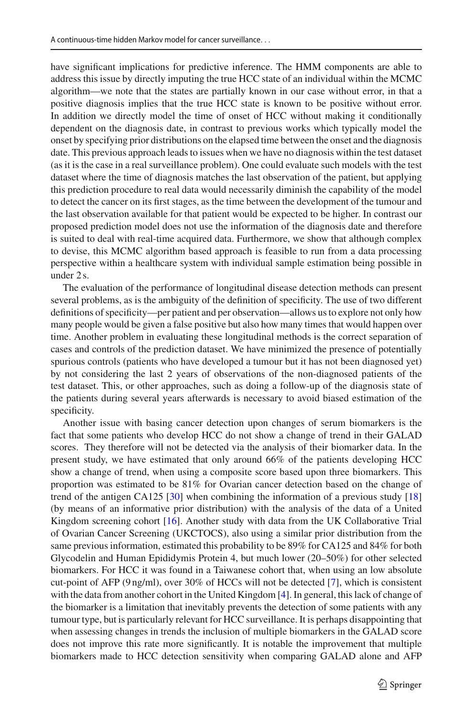have significant implications for predictive inference. The HMM components are able to address this issue by directly imputing the true HCC state of an individual within the MCMC algorithm—we note that the states are partially known in our case without error, in that a positive diagnosis implies that the true HCC state is known to be positive without error. In addition we directly model the time of onset of HCC without making it conditionally dependent on the diagnosis date, in contrast to previous works which typically model the onset by specifying prior distributions on the elapsed time between the onset and the diagnosis date. This previous approach leads to issues when we have no diagnosis within the test dataset (as it is the case in a real surveillance problem). One could evaluate such models with the test dataset where the time of diagnosis matches the last observation of the patient, but applying this prediction procedure to real data would necessarily diminish the capability of the model to detect the cancer on its first stages, as the time between the development of the tumour and the last observation available for that patient would be expected to be higher. In contrast our proposed prediction model does not use the information of the diagnosis date and therefore is suited to deal with real-time acquired data. Furthermore, we show that although complex to devise, this MCMC algorithm based approach is feasible to run from a data processing perspective within a healthcare system with individual sample estimation being possible in under 2 s.

The evaluation of the performance of longitudinal disease detection methods can present several problems, as is the ambiguity of the definition of specificity. The use of two different definitions of specificity—per patient and per observation—allows us to explore not only how many people would be given a false positive but also how many times that would happen over time. Another problem in evaluating these longitudinal methods is the correct separation of cases and controls of the prediction dataset. We have minimized the presence of potentially spurious controls (patients who have developed a tumour but it has not been diagnosed yet) by not considering the last 2 years of observations of the non-diagnosed patients of the test dataset. This, or other approaches, such as doing a follow-up of the diagnosis state of the patients during several years afterwards is necessary to avoid biased estimation of the specificity.

Another issue with basing cancer detection upon changes of serum biomarkers is the fact that some patients who develop HCC do not show a change of trend in their GALAD scores. They therefore will not be detected via the analysis of their biomarker data. In the present study, we have estimated that only around 66% of the patients developing HCC show a change of trend, when using a composite score based upon three biomarkers. This proportion was estimated to be 81% for Ovarian cancer detection based on the change of trend of the antigen CA125  $[30]$  $[30]$  when combining the information of a previous study  $[18]$ (by means of an informative prior distribution) with the analysis of the data of a United Kingdom screening cohort [\[16\]](#page-19-17). Another study with data from the UK Collaborative Trial of Ovarian Cancer Screening (UKCTOCS), also using a similar prior distribution from the same previous information, estimated this probability to be 89% for CA125 and 84% for both Glycodelin and Human Epididymis Protein 4, but much lower (20–50%) for other selected biomarkers. For HCC it was found in a Taiwanese cohort that, when using an low absolute cut-point of AFP (9 ng/ml), over 30% of HCCs will not be detected [\[7\]](#page-19-18), which is consistent with the data from another cohort in the United Kingdom [\[4](#page-19-8)]. In general, this lack of change of the biomarker is a limitation that inevitably prevents the detection of some patients with any tumour type, but is particularly relevant for HCC surveillance. It is perhaps disappointing that when assessing changes in trends the inclusion of multiple biomarkers in the GALAD score does not improve this rate more significantly. It is notable the improvement that multiple biomarkers made to HCC detection sensitivity when comparing GALAD alone and AFP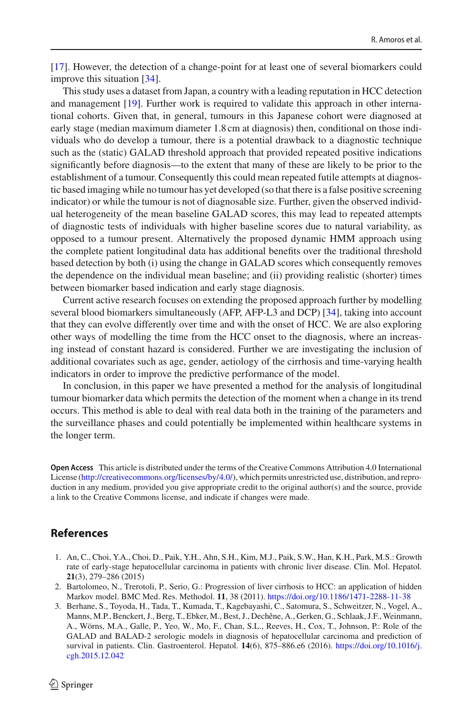[\[17\]](#page-19-6). However, the detection of a change-point for at least one of several biomarkers could improve this situation [\[34](#page-20-4)].

This study uses a dataset from Japan, a country with a leading reputation in HCC detection and management [\[19\]](#page-19-19). Further work is required to validate this approach in other international cohorts. Given that, in general, tumours in this Japanese cohort were diagnosed at early stage (median maximum diameter 1.8 cm at diagnosis) then, conditional on those individuals who do develop a tumour, there is a potential drawback to a diagnostic technique such as the (static) GALAD threshold approach that provided repeated positive indications significantly before diagnosis—to the extent that many of these are likely to be prior to the establishment of a tumour. Consequently this could mean repeated futile attempts at diagnostic based imaging while no tumour has yet developed (so that there is a false positive screening indicator) or while the tumour is not of diagnosable size. Further, given the observed individual heterogeneity of the mean baseline GALAD scores, this may lead to repeated attempts of diagnostic tests of individuals with higher baseline scores due to natural variability, as opposed to a tumour present. Alternatively the proposed dynamic HMM approach using the complete patient longitudinal data has additional benefits over the traditional threshold based detection by both (i) using the change in GALAD scores which consequently removes the dependence on the individual mean baseline; and (ii) providing realistic (shorter) times between biomarker based indication and early stage diagnosis.

Current active research focuses on extending the proposed approach further by modelling several blood biomarkers simultaneously (AFP, AFP-L3 and DCP) [\[34](#page-20-4)], taking into account that they can evolve differently over time and with the onset of HCC. We are also exploring other ways of modelling the time from the HCC onset to the diagnosis, where an increasing instead of constant hazard is considered. Further we are investigating the inclusion of additional covariates such as age, gender, aetiology of the cirrhosis and time-varying health indicators in order to improve the predictive performance of the model.

In conclusion, in this paper we have presented a method for the analysis of longitudinal tumour biomarker data which permits the detection of the moment when a change in its trend occurs. This method is able to deal with real data both in the training of the parameters and the surveillance phases and could potentially be implemented within healthcare systems in the longer term.

**Open Access** This article is distributed under the terms of the Creative Commons Attribution 4.0 International License [\(http://creativecommons.org/licenses/by/4.0/\)](http://creativecommons.org/licenses/by/4.0/), which permits unrestricted use, distribution, and reproduction in any medium, provided you give appropriate credit to the original author(s) and the source, provide a link to the Creative Commons license, and indicate if changes were made.

## **References**

- <span id="page-18-2"></span>1. An, C., Choi, Y.A., Choi, D., Paik, Y.H., Ahn, S.H., Kim, M.J., Paik, S.W., Han, K.H., Park, M.S.: Growth rate of early-stage hepatocellular carcinoma in patients with chronic liver disease. Clin. Mol. Hepatol. **21**(3), 279–286 (2015)
- <span id="page-18-1"></span>2. Bartolomeo, N., Trerotoli, P., Serio, G.: Progression of liver cirrhosis to HCC: an application of hidden Markov model. BMC Med. Res. Methodol. **11**, 38 (2011). <https://doi.org/10.1186/1471-2288-11-38>
- <span id="page-18-0"></span>3. Berhane, S., Toyoda, H., Tada, T., Kumada, T., Kagebayashi, C., Satomura, S., Schweitzer, N., Vogel, A., Manns, M.P., Benckert, J., Berg, T., Ebker, M., Best, J., Dechêne, A., Gerken, G., Schlaak, J.F., Weinmann, A., Wörns, M.A., Galle, P., Yeo, W., Mo, F., Chan, S.L., Reeves, H., Cox, T., Johnson, P.: Role of the GALAD and BALAD-2 serologic models in diagnosis of hepatocellular carcinoma and prediction of survival in patients. Clin. Gastroenterol. Hepatol. **14**(6), 875–886.e6 (2016). [https://doi.org/10.1016/j.](https://doi.org/10.1016/j.cgh.2015.12.042) [cgh.2015.12.042](https://doi.org/10.1016/j.cgh.2015.12.042)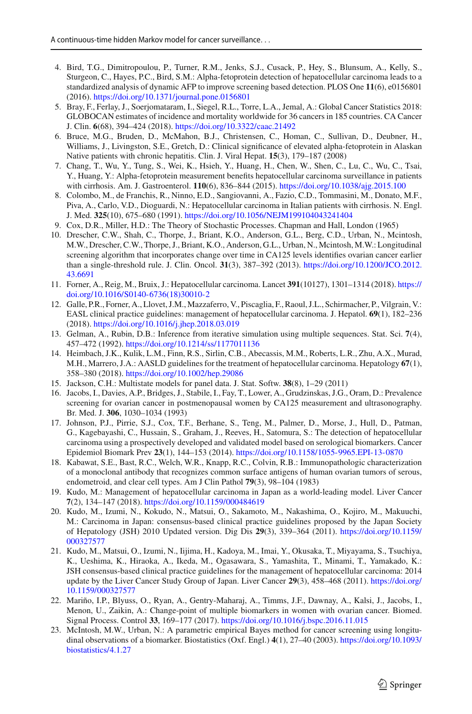- <span id="page-19-8"></span>4. Bird, T.G., Dimitropoulou, P., Turner, R.M., Jenks, S.J., Cusack, P., Hey, S., Blunsum, A., Kelly, S., Sturgeon, C., Hayes, P.C., Bird, S.M.: Alpha-fetoprotein detection of hepatocellular carcinoma leads to a standardized analysis of dynamic AFP to improve screening based detection. PLOS One **11**(6), e0156801 (2016). <https://doi.org/10.1371/journal.pone.0156801>
- <span id="page-19-0"></span>5. Bray, F., Ferlay, J., Soerjomataram, I., Siegel, R.L., Torre, L.A., Jemal, A.: Global Cancer Statistics 2018: GLOBOCAN estimates of incidence and mortality worldwide for 36 cancers in 185 countries. CA Cancer J. Clin. **6**(68), 394–424 (2018). <https://doi.org/10.3322/caac.21492>
- <span id="page-19-14"></span>6. Bruce, M.G., Bruden, D., McMahon, B.J., Christensen, C., Homan, C., Sullivan, D., Deubner, H., Williams, J., Livingston, S.E., Gretch, D.: Clinical significance of elevated alpha-fetoprotein in Alaskan Native patients with chronic hepatitis. Clin. J. Viral Hepat. **15**(3), 179–187 (2008)
- <span id="page-19-18"></span>7. Chang, T., Wu, Y., Tung, S., Wei, K., Hsieh, Y., Huang, H., Chen, W., Shen, C., Lu, C., Wu, C., Tsai, Y., Huang, Y.: Alpha-fetoprotein measurement benefits hepatocellular carcinoma surveillance in patients with cirrhosis. Am. J. Gastroenterol. **110**(6), 836–844 (2015). <https://doi.org/10.1038/ajg.2015.100>
- <span id="page-19-2"></span>8. Colombo, M., de Franchis, R., Ninno, E.D., Sangiovanni, A., Fazio, C.D., Tommasini, M., Donato, M.F., Piva, A., Carlo, V.D., Dioguardi, N.: Hepatocellular carcinoma in Italian patients with cirrhosis. N. Engl. J. Med. **325**(10), 675–680 (1991). <https://doi.org/10.1056/NEJM199104043241404>
- <span id="page-19-12"></span>9. Cox, D.R., Miller, H.D.: The Theory of Stochastic Processes. Chapman and Hall, London (1965)
- <span id="page-19-9"></span>10. Drescher, C.W., Shah, C., Thorpe, J., Briant, K.O., Anderson, G.L., Berg, C.D., Urban, N., Mcintosh, M.W., Drescher, C.W., Thorpe, J., Briant, K.O., Anderson, G.L., Urban, N., Mcintosh, M.W.: Longitudinal screening algorithm that incorporates change over time in CA125 levels identifies ovarian cancer earlier than a single-threshold rule. J. Clin. Oncol. **31**(3), 387–392 (2013). [https://doi.org/10.1200/JCO.2012.](https://doi.org/10.1200/JCO.2012.43.6691) [43.6691](https://doi.org/10.1200/JCO.2012.43.6691)
- <span id="page-19-1"></span>11. Forner, A., Reig, M., Bruix, J.: Hepatocellular carcinoma. Lancet **391**(10127), 1301–1314 (2018). [https://](https://doi.org/10.1016/S0140-6736(18)30010-2) [doi.org/10.1016/S0140-6736\(18\)30010-2](https://doi.org/10.1016/S0140-6736(18)30010-2)
- <span id="page-19-3"></span>12. Galle, P.R., Forner, A., Llovet, J.M., Mazzaferro, V., Piscaglia, F., Raoul, J.L., Schirmacher, P., Vilgrain, V.: EASL clinical practice guidelines: management of hepatocellular carcinoma. J. Hepatol. **69**(1), 182–236 (2018). <https://doi.org/10.1016/j.jhep.2018.03.019>
- <span id="page-19-15"></span>13. Gelman, A., Rubin, D.B.: Inference from iterative simulation using multiple sequences. Stat. Sci. **7**(4), 457–472 (1992). <https://doi.org/10.1214/ss/1177011136>
- <span id="page-19-4"></span>14. Heimbach, J.K., Kulik, L.M., Finn, R.S., Sirlin, C.B., Abecassis, M.M., Roberts, L.R., Zhu, A.X., Murad, M.H., Marrero, J.A.: AASLD guidelines for the treatment of hepatocellular carcinoma. Hepatology **67**(1), 358–380 (2018). <https://doi.org/10.1002/hep.29086>
- <span id="page-19-13"></span>15. Jackson, C.H.: Multistate models for panel data. J. Stat. Softw. **38**(8), 1–29 (2011)
- <span id="page-19-17"></span>16. Jacobs, I., Davies, A.P., Bridges, J., Stabile, I., Fay, T., Lower, A., Grudzinskas, J.G., Oram, D.: Prevalence screening for ovarian cancer in postmenopausal women by CA125 measurement and ultrasonography. Br. Med. J. **306**, 1030–1034 (1993)
- <span id="page-19-6"></span>17. Johnson, P.J., Pirrie, S.J., Cox, T.F., Berhane, S., Teng, M., Palmer, D., Morse, J., Hull, D., Patman, G., Kagebayashi, C., Hussain, S., Graham, J., Reeves, H., Satomura, S.: The detection of hepatocellular carcinoma using a prospectively developed and validated model based on serological biomarkers. Cancer Epidemiol Biomark Prev **23**(1), 144–153 (2014). <https://doi.org/10.1158/1055-9965.EPI-13-0870>
- <span id="page-19-16"></span>18. Kabawat, S.E., Bast, R.C., Welch, W.R., Knapp, R.C., Colvin, R.B.: Immunopathologic characterization of a monoclonal antibody that recognizes common surface antigens of human ovarian tumors of serous, endometroid, and clear cell types. Am J Clin Pathol **79**(3), 98–104 (1983)
- <span id="page-19-19"></span>19. Kudo, M.: Management of hepatocellular carcinoma in Japan as a world-leading model. Liver Cancer **7**(2), 134–147 (2018). <https://doi.org/10.1159/000484619>
- <span id="page-19-5"></span>20. Kudo, M., Izumi, N., Kokudo, N., Matsui, O., Sakamoto, M., Nakashima, O., Kojiro, M., Makuuchi, M.: Carcinoma in Japan: consensus-based clinical practice guidelines proposed by the Japan Society of Hepatology (JSH) 2010 Updated version. Dig Dis **29**(3), 339–364 (2011). [https://doi.org/10.1159/](https://doi.org/10.1159/000327577) [000327577](https://doi.org/10.1159/000327577)
- <span id="page-19-7"></span>21. Kudo, M., Matsui, O., Izumi, N., Iijima, H., Kadoya, M., Imai, Y., Okusaka, T., Miyayama, S., Tsuchiya, K., Ueshima, K., Hiraoka, A., Ikeda, M., Ogasawara, S., Yamashita, T., Minami, T., Yamakado, K.: JSH consensus-based clinical practice guidelines for the management of hepatocellular carcinoma: 2014 update by the Liver Cancer Study Group of Japan. Liver Cancer **29**(3), 458–468 (2011). [https://doi.org/](https://doi.org/10.1159/000327577) [10.1159/000327577](https://doi.org/10.1159/000327577)
- <span id="page-19-11"></span>22. Mariño, I.P., Blyuss, O., Ryan, A., Gentry-Maharaj, A., Timms, J.F., Dawnay, A., Kalsi, J., Jacobs, I., Menon, U., Zaikin, A.: Change-point of multiple biomarkers in women with ovarian cancer. Biomed. Signal Process. Control **33**, 169–177 (2017). <https://doi.org/10.1016/j.bspc.2016.11.015>
- <span id="page-19-10"></span>23. McIntosh, M.W., Urban, N.: A parametric empirical Bayes method for cancer screening using longitudinal observations of a biomarker. Biostatistics (Oxf. Engl.) **4**(1), 27–40 (2003). [https://doi.org/10.1093/](https://doi.org/10.1093/biostatistics/4.1.27) [biostatistics/4.1.27](https://doi.org/10.1093/biostatistics/4.1.27)